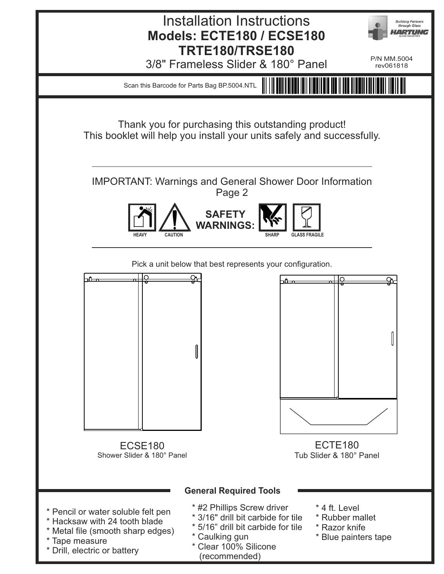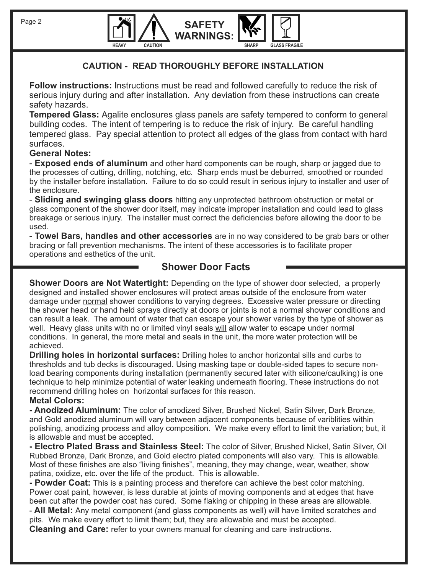



### **CAUTION - READ THOROUGHLY BEFORE INSTALLATION**

**SAFET** 

**Follow instructions: I**nstructions must be read and followed carefully to reduce the risk of serious injury during and after installation. Any deviation from these instructions can create safety hazards.

**Tempered Glass:** Agalite enclosures glass panels are safety tempered to conform to general building codes. The intent of tempering is to reduce the risk of injury. Be careful handling tempered glass. Pay special attention to protect all edges of the glass from contact with hard surfaces.

### **General Notes:**

- **Exposed ends of aluminum** and other hard components can be rough, sharp or jagged due to the processes of cutting, drilling, notching, etc. Sharp ends must be deburred, smoothed or rounded by the installer before installation. Failure to do so could result in serious injury to installer and user of the enclosure.

- **Sliding and swinging glass doors** hitting any unprotected bathroom obstruction or metal or glass component of the shower door itself, may indicate improper installation and could lead to glass breakage or serious injury. The installer must correct the deficiencies before allowing the door to be used.

- **Towel Bars, handles and other accessories** are in no way considered to be grab bars or other bracing or fall prevention mechanisms. The intent of these accessories is to facilitate proper operations and esthetics of the unit.

## **Shower Door Facts**

**Shower Doors are Not Watertight:** Depending on the type of shower door selected, a properly designed and installed shower enclosures will protect areas outside of the enclosure from water damage under normal shower conditions to varying degrees. Excessive water pressure or directing the shower head or hand held sprays directly at doors or joints is not a normal shower conditions and can result a leak. The amount of water that can escape your shower varies by the type of shower as well. Heavy glass units with no or limited vinyl seals will allow water to escape under normal conditions. In general, the more metal and seals in the unit, the more water protection will be achieved.

**Drilling holes in horizontal surfaces:** Drilling holes to anchor horizontal sills and curbs to thresholds and tub decks is discouraged. Using masking tape or double-sided tapes to secure nonload bearing components during installation (permanently secured later with silicone/caulking) is one technique to help minimize potential of water leaking underneath flooring. These instructions do not recommend drilling holes on horizontal surfaces for this reason. **Metal Colors:** 

**- Anodized Aluminum:** The color of anodized Silver, Brushed Nickel, Satin Silver, Dark Bronze, and Gold anodized aluminum will vary between adjacent components because of variblities within polishing, anodizing process and alloy composition. We make every effort to limit the variation; but, it is allowable and must be accepted.

**- Electro Plated Brass and Stainless Steel:** The color of Silver, Brushed Nickel, Satin Silver, Oil Rubbed Bronze, Dark Bronze, and Gold electro plated components will also vary. This is allowable. Most of these finishes are also "living finishes", meaning, they may change, wear, weather, show patina, oxidize, etc. over the life of the product. This is allowable.

**- Powder Coat:** This is a painting process and therefore can achieve the best color matching. Power coat paint, however, is less durable at joints of moving components and at edges that have been cut after the powder coat has cured. Some flaking or chipping in these areas are allowable.

- **All Metal:** Any metal component (and glass components as well) will have limited scratches and pits. We make every effort to limit them; but, they are allowable and must be accepted. **Cleaning and Care:** refer to your owners manual for cleaning and care instructions.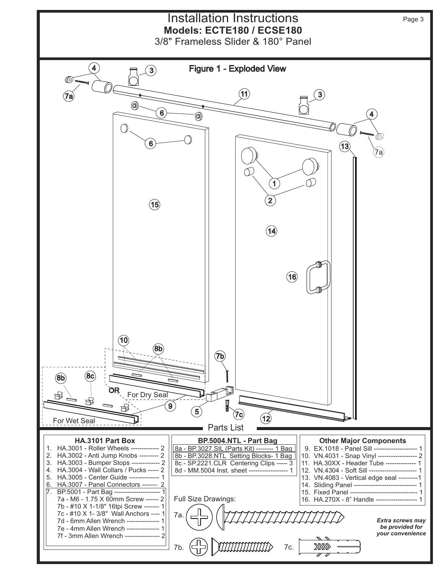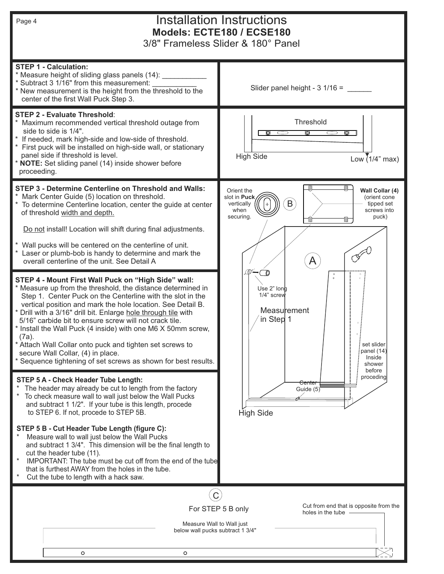# Installation Instructions **Models: ECTE180 / ECSE180**

3/8" Frameless Slider & 180° Panel

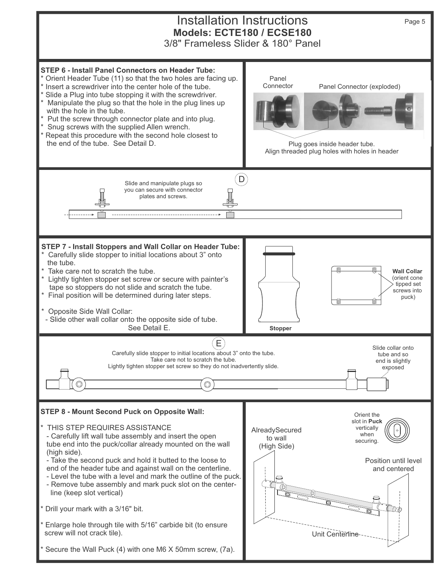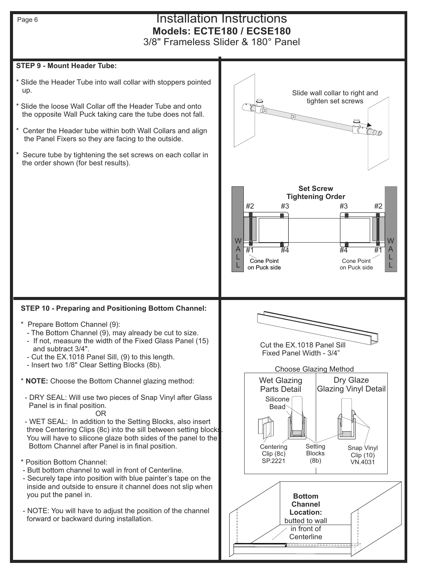## Installation Instructions **Models: ECTE180 / ECSE180**

3/8" Frameless Slider & 180° Panel

### **STEP 9 - Mount Header Tube:**

- \* Slide the Header Tube into wall collar with stoppers pointed up.
- Slide the loose Wall Collar off the Header Tube and onto the opposite Wall Puck taking care the tube does not fall.
- Center the Header tube within both Wall Collars and align the Panel Fixers so they are facing to the outside.
- Secure tube by tightening the set screws on each collar in the order shown (for best results).

### **STEP 10 - Preparing and Positioning Bottom Channel:**

- \* Prepare Bottom Channel (9):
	- The Bottom Channel (9), may already be cut to size.
	- If not, measure the width of the Fixed Glass Panel (15) and subtract 3/4".
	- Cut the EX.1018 Panel Sill, (9) to this length.
	- Insert two 1/8" Clear Setting Blocks (8b).

**NOTE:** Choose the Bottom Channel glazing method:

- DRY SEAL: Will use two pieces of Snap Vinyl after Glass Panel is in final position.
- **OR** Service Service Service Service Service Service Service Service Service Service Service Service Service Se - WET SEAL: In addition to the Setting Blocks, also insert three Centering Clips (8c) into the sill between setting blocks You will have to silicone glaze both sides of the panel to the Bottom Channel after Panel is in final position.
- \* Position Bottom Channel:
- Butt bottom channel to wall in front of Centerline.
- Securely tape into position with blue painter's tape on the inside and outside to ensure it channel does not slip when you put the panel in.
- NOTE: You will have to adjust the position of the channel forward or backward during installation.

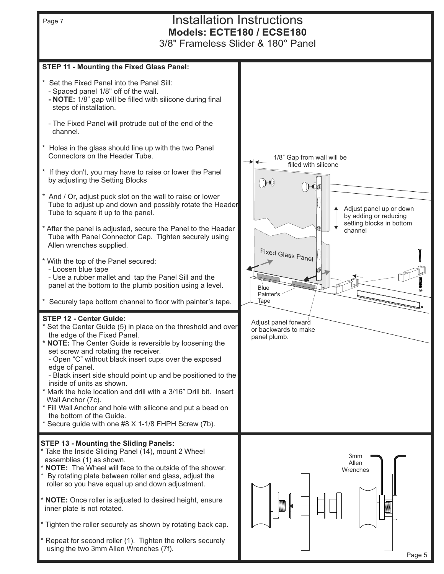

Repeat for second roller (1). Tighten the rollers securely using the two 3mm Allen Wrenches (7f).